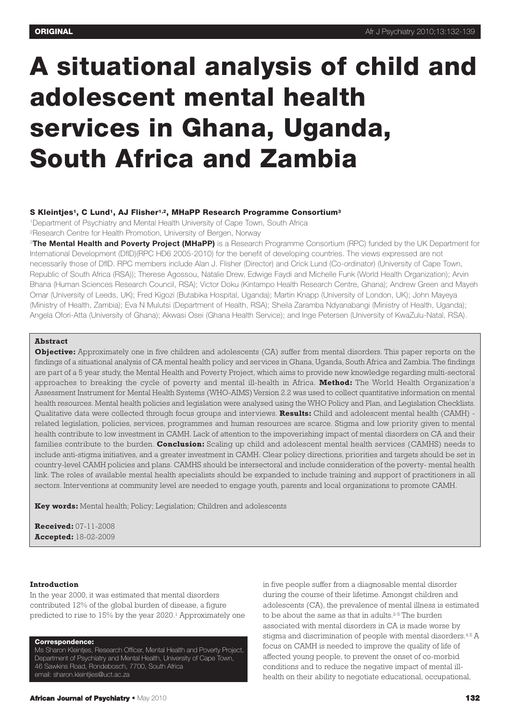# **A situational analysis of child and adolescent mental health services in Ghana, Uganda, South Africa and Zambia**

# **S Kleintjes1, C Lund1, AJ Flisher1,2, MHaPP Research Programme Consortium3**

1Department of Psychiatry and Mental Health University of Cape Town, South Africa 2Research Centre for Health Promotion, University of Bergen, Norway

<sup>3</sup>**The Mental Health and Poverty Project (MHaPP)** is a Research Programme Consortium (RPC) funded by the UK Department for International Development (DfID)(RPC HD6 2005-2010) for the benefit of developing countries. The views expressed are not necessarily those of DfID. RPC members include Alan J. Flisher (Director) and Crick Lund (Co-ordinator) (University of Cape Town, Republic of South Africa (RSA)); Therese Agossou, Natalie Drew, Edwige Faydi and Michelle Funk (World Health Organization); Arvin Bhana (Human Sciences Research Council, RSA); Victor Doku (Kintampo Health Research Centre, Ghana); Andrew Green and Mayeh Omar (University of Leeds, UK); Fred Kigozi (Butabika Hospital, Uganda); Martin Knapp (University of London, UK); John Mayeya (Ministry of Health, Zambia); Eva N Mulutsi (Department of Health, RSA); Sheila Zaramba Ndyanabangi (Ministry of Health, Uganda); Angela Ofori-Atta (University of Ghana); Akwasi Osei (Ghana Health Service); and Inge Petersen (University of KwaZulu-Natal, RSA).

## **Abstract**

**Objective:** Approximately one in five children and adolescents (CA) suffer from mental disorders. This paper reports on the findings of a situational analysis of CA mental health policy and services in Ghana, Uganda, South Africa and Zambia. The findings are part of a 5 year study, the Mental Health and Poverty Project, which aims to provide new knowledge regarding multi-sectoral approaches to breaking the cycle of poverty and mental ill-health in Africa. **Method:** The World Health Organization's Assessment Instrument for Mental Health Systems (WHO-AIMS) Version 2.2 was used to collect quantitative information on mental health resources. Mental health policies and legislation were analysed using the WHO Policy and Plan, and Legislation Checklists. Qualitative data were collected through focus groups and interviews. **Results:** Child and adolescent mental health (CAMH) related legislation, policies, services, programmes and human resources are scarce. Stigma and low priority given to mental health contribute to low investment in CAMH. Lack of attention to the impoverishing impact of mental disorders on CA and their families contribute to the burden. **Conclusion:** Scaling up child and adolescent mental health services (CAMHS) needs to include anti-stigma initiatives, and a greater investment in CAMH. Clear policy directions, priorities and targets should be set in country-level CAMH policies and plans. CAMHS should be intersectoral and include consideration of the poverty- mental health link. The roles of available mental health specialists should be expanded to include training and support of practitioners in all sectors. Interventions at community level are needed to engage youth, parents and local organizations to promote CAMH.

**Key words:** Mental health; Policy; Legislation; Children and adolescents

**Received:** 07-11-2008 **Accepted:** 18-02-2009

# **Introduction**

In the year 2000, it was estimated that mental disorders contributed 12% of the global burden of disease, a figure predicted to rise to 15% by the year 2020. <sup>1</sup> Approximately one

# **Correspondence:**

Ms Sharon Kleintjes, Research Officer, Mental Health and Poverty Project, Department of Psychiatry and Mental Health, University of Cape Town, 46 Sawkins Road, Rondebosch, 7700, South Africa email: sharon.kleintjies@uct.ac.za

**African Journal of Psychiatry •** May 2010 **132**

in five people suffer from a diagnosable mental disorder during the course of their lifetime. Amongst children and adolescents (CA), the prevalence of mental illness is estimated to be about the same as that in adults. 2-5 The burden associated with mental disorders in CA is made worse by stigma and discrimination of people with mental disorders. 4,5 A focus on CAMH is needed to improve the quality of life of affected young people, to prevent the onset of co-morbid conditions and to reduce the negative impact of mental illhealth on their ability to negotiate educational, occupational,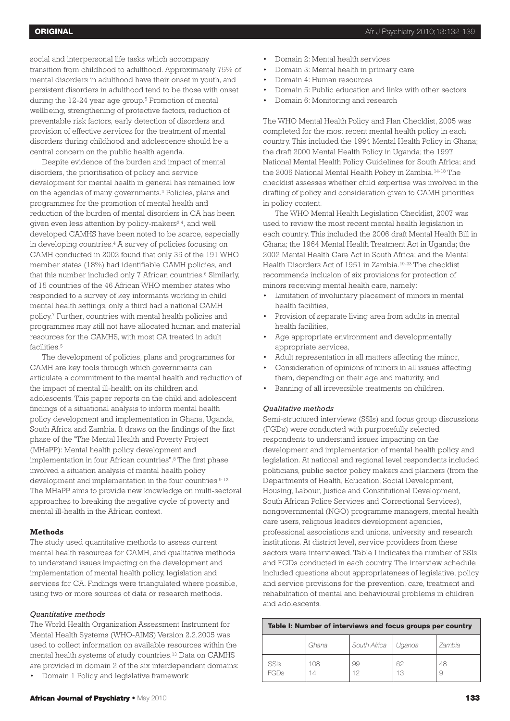social and interpersonal life tasks which accompany transition from childhood to adulthood. Approximately 75% of mental disorders in adulthood have their onset in youth, and persistent disorders in adulthood tend to be those with onset during the 12-24 year age group. <sup>5</sup> Promotion of mental wellbeing, strengthening of protective factors, reduction of preventable risk factors, early detection of disorders and provision of effective services for the treatment of mental disorders during childhood and adolescence should be a central concern on the public health agenda.

Despite evidence of the burden and impact of mental disorders, the prioritisation of policy and service development for mental health in general has remained low on the agendas of many governments. <sup>2</sup> Policies, plans and programmes for the promotion of mental health and reduction of the burden of mental disorders in CA has been given even less attention by policy-makers<sup>2,4</sup>, and well developed CAMHS have been noted to be scarce, especially in developing countries. <sup>4</sup> A survey of policies focusing on CAMH conducted in 2002 found that only 35 of the 191 WHO member states (18%) had identifiable CAMH policies, and that this number included only 7 African countries. <sup>6</sup> Similarly, of 15 countries of the 46 African WHO member states who responded to a survey of key informants working in child mental health settings, only a third had a national CAMH policy. <sup>7</sup> Further, countries with mental health policies and programmes may still not have allocated human and material resources for the CAMHS, with most CA treated in adult facilities. 5

The development of policies, plans and programmes for CAMH are key tools through which governments can articulate a commitment to the mental health and reduction of the impact of mental ill-health on its children and adolescents. This paper reports on the child and adolescent findings of a situational analysis to inform mental health policy development and implementation in Ghana, Uganda, South Africa and Zambia. It draws on the findings of the first phase of the "The Mental Health and Poverty Project (MHaPP): Mental health policy development and implementation in four African countries". <sup>8</sup> The first phase involved a situation analysis of mental health policy development and implementation in the four countries. 9-12 The MHaPP aims to provide new knowledge on multi-sectoral approaches to breaking the negative cycle of poverty and mental ill-health in the African context.

# **Methods**

The study used quantitative methods to assess current mental health resources for CAMH, and qualitative methods to understand issues impacting on the development and implementation of mental health policy, legislation and services for CA. Findings were triangulated where possible, using two or more sources of data or research methods.

## *Quantitative methods*

The World Health Organization Assessment Instrument for Mental Health Systems (WHO-AIMS) Version 2.2,2005 was used to collect information on available resources within the mental health systems of study countries. <sup>13</sup> Data on CAMHS are provided in domain 2 of the six interdependent domains:

• Domain 1 Policy and legislative framework

- Domain 2: Mental health services
- Domain 3: Mental health in primary care
- Domain 4: Human resources
- Domain 5: Public education and links with other sectors
- Domain 6: Monitoring and research

The WHO Mental Health Policy and Plan Checklist, 2005 was completed for the most recent mental health policy in each country. This included the 1994 Mental Health Policy in Ghana; the draft 2000 Mental Health Policy in Uganda; the 1997 National Mental Health Policy Guidelines for South Africa; and the 2005 National Mental Health Policy in Zambia. 14-18 The checklist assesses whether child expertise was involved in the drafting of policy and consideration given to CAMH priorities in policy content.

The WHO Mental Health Legislation Checklist, 2007 was used to review the most recent mental health legislation in each country. This included the 2006 draft Mental Health Bill in Ghana; the 1964 Mental Health Treatment Act in Uganda; the 2002 Mental Health Care Act in South Africa; and the Mental Health Disorders Act of 1951 in Zambia. 19-23 The checklist recommends inclusion of six provisions for protection of minors receiving mental health care, namely:

- Limitation of involuntary placement of minors in mental health facilities,
- Provision of separate living area from adults in mental health facilities,
- Age appropriate environment and developmentally appropriate services,
- Adult representation in all matters affecting the minor,
- Consideration of opinions of minors in all issues affecting them, depending on their age and maturity, and
- Banning of all irreversible treatments on children.

#### *Qualitative methods*

Semi-structured interviews (SSIs) and focus group discussions (FGDs) were conducted with purposefully selected respondents to understand issues impacting on the development and implementation of mental health policy and legislation. At national and regional level respondents included politicians, public sector policy makers and planners (from the Departments of Health, Education, Social Development, Housing, Labour, Justice and Constitutional Development, South African Police Services and Correctional Services), nongovernmental (NGO) programme managers, mental health care users, religious leaders development agencies, professional associations and unions, university and research institutions. At district level, service providers from these sectors were interviewed. Table I indicates the number of SSIs and FGDs conducted in each country. The interview schedule included questions about appropriateness of legislative, policy and service provisions for the prevention, care, treatment and rehabilitation of mental and behavioural problems in children and adolescents.

| Table I: Number of interviews and focus groups per country |           |              |           |         |  |  |  |  |
|------------------------------------------------------------|-----------|--------------|-----------|---------|--|--|--|--|
|                                                            | Ghana     | South Africa | Uganda    | Zambia  |  |  |  |  |
| <b>SSIs</b><br>⊢( ) ) )                                    | 108<br>14 | 99<br>12     | -62<br>13 | 48<br>9 |  |  |  |  |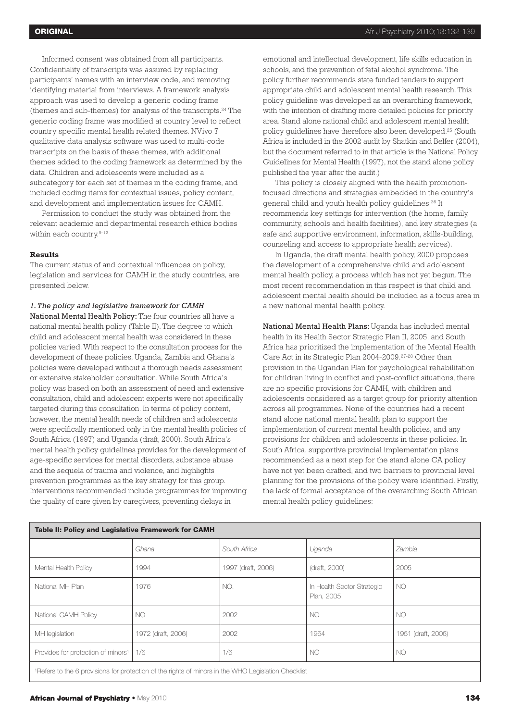Informed consent was obtained from all participants. Confidentiality of transcripts was assured by replacing participants' names with an interview code, and removing identifying material from interviews. A framework analysis approach was used to develop a generic coding frame (themes and sub-themes) for analysis of the transcripts. <sup>24</sup> The generic coding frame was modified at country level to reflect country specific mental health related themes. NVivo 7 qualitative data analysis software was used to multi-code transcripts on the basis of these themes, with additional themes added to the coding framework as determined by the data. Children and adolescents were included as a subcategory for each set of themes in the coding frame, and included coding items for contextual issues, policy content, and development and implementation issues for CAMH.

Permission to conduct the study was obtained from the relevant academic and departmental research ethics bodies within each country. 9-12

#### **Results**

The current status of and contextual influences on policy, legislation and services for CAMH in the study countries, are presented below.

# *1.The policy and legislative framework for CAMH*

National Mental Health Policy: The four countries all have a national mental health policy (Table II). The degree to which child and adolescent mental health was considered in these policies varied. With respect to the consultation process for the development of these policies, Uganda, Zambia and Ghana's policies were developed without a thorough needs assessment or extensive stakeholder consultation. While South Africa's policy was based on both an assessment of need and extensive consultation, child and adolescent experts were not specifically targeted during this consultation. In terms of policy content, however, the mental health needs of children and adolescents were specifically mentioned only in the mental health policies of South Africa (1997) and Uganda (draft, 2000). South Africa's mental health policy guidelines provides for the development of age-specific services for mental disorders, substance abuse and the sequela of trauma and violence, and highlights prevention programmes as the key strategy for this group. Interventions recommended include programmes for improving the quality of care given by caregivers, preventing delays in

emotional and intellectual development, life skills education in schools, and the prevention of fetal alcohol syndrome. The policy further recommends state funded tenders to support appropriate child and adolescent mental health research. This policy guideline was developed as an overarching framework, with the intention of drafting more detailed policies for priority area. Stand alone national child and adolescent mental health policy guidelines have therefore also been developed. <sup>25</sup> (South Africa is included in the 2002 audit by Shatkin and Belfer (2004), but the document referred to in that article is the National Policy Guidelines for Mental Health (1997), not the stand alone policy published the year after the audit.)

This policy is closely aligned with the health promotionfocused directions and strategies embedded in the country's general child and youth health policy guidelines. <sup>26</sup> It recommends key settings for intervention (the home, family, community, schools and health facilities), and key strategies (a safe and supportive environment, information, skills-building, counseling and access to appropriate health services).

In Uganda, the draft mental health policy, 2000 proposes the development of a comprehensive child and adolescent mental health policy, a process which has not yet begun. The most recent recommendation in this respect is that child and adolescent mental health should be included as a focus area in a new national mental health policy.

National Mental Health Plans: Uganda has included mental health in its Health Sector Strategic Plan II, 2005, and South Africa has prioritized the implementation of the Mental Health Care Act in its Strategic Plan 2004-2009. 27-28 Other than provision in the Ugandan Plan for psychological rehabilitation for children living in conflict and post-conflict situations, there are no specific provisions for CAMH, with children and adolescents considered as a target group for priority attention across all programmes. None of the countries had a recent stand alone national mental health plan to support the implementation of current mental health policies, and any provisions for children and adolescents in these policies. In South Africa, supportive provincial implementation plans recommended as a next step for the stand alone CA policy have not yet been drafted, and two barriers to provincial level planning for the provisions of the policy were identified. Firstly, the lack of formal acceptance of the overarching South African mental health policy guidelines:

| Table II: Policy and Legislative Framework for CAMH                                                  |                    |                    |                                          |                    |  |  |  |
|------------------------------------------------------------------------------------------------------|--------------------|--------------------|------------------------------------------|--------------------|--|--|--|
|                                                                                                      | Ghana              | South Africa       | Uganda                                   | Zambia             |  |  |  |
| Mental Health Policy                                                                                 | 1994               | 1997 (draft, 2006) | (draft, 2000)                            | 2005               |  |  |  |
| National MH Plan                                                                                     | 1976               | NO.                | In Health Sector Strategic<br>Plan, 2005 | <b>NO</b>          |  |  |  |
| National CAMH Policy                                                                                 | NO.                | 2002               | NO.                                      | NO.                |  |  |  |
| MH legislation                                                                                       | 1972 (draft, 2006) | 2002               | 1964                                     | 1951 (draft, 2006) |  |  |  |
| Provides for protection of minors <sup>1</sup>                                                       | 1/6                | 1/6                | NO.                                      | NO.                |  |  |  |
| 1 Refers to the 6 provisions for protection of the rights of minors in the WHO Legislation Checklist |                    |                    |                                          |                    |  |  |  |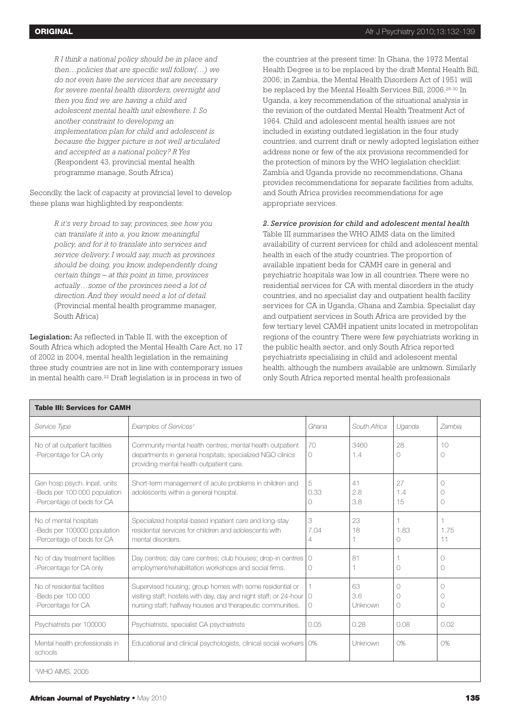*R I think a national policy should be in place and then…policies that are specific will follow(…) we do not even have the services that are necessary for severe mental health disorders, overnight and then you find we are having a child and adolescent mental health unit elsewhere. I: So another constraint to developing an implementation plan for child and adolescent is because the bigger picture is not well articulated and accepted as a national policy? R Yes* (Respondent 43, provincial mental health programme manage, South Africa)

Secondly, the lack of capacity at provincial level to develop these plans was highlighted by respondents:

> *R it's very broad to say, provinces, see how you can translate it into a, you know. meaningful policy, and for it to translate into services and service delivery. I would say, much as provinces should be doing, you know, independently doing certain things – at this point in time, provinces actually…some of the provinces need a lot of direction. And they would need a lot of detail.* (Provincial mental health programme manager, South Africa)

Legislation: As reflected in Table II, with the exception of South Africa which adopted the Mental Health Care Act, no 17 of 2002 in 2004, mental health legislation in the remaining three study countries are not in line with contemporary issues in mental health care. <sup>22</sup> Draft legislation is in process in two of

the countries at the present time: In Ghana, the 1972 Mental Health Degree is to be replaced by the draft Mental Health Bill, 2006; in Zambia, the Mental Health Disorders Act of 1951 will be replaced by the Mental Health Services Bill, 2006. 29-30 In Uganda, a key recommendation of the situational analysis is the revision of the outdated Mental Health Treatment Act of 1964. Child and adolescent mental health issues are not included in existing outdated legislation in the four study countries, and current draft or newly adopted legislation either address none or few of the six provisions recommended for the protection of minors by the WHO legislation checklist: Zambia and Uganda provide no recommendations, Ghana provides recommendations for separate facilities from adults, and South Africa provides recommendations for age appropriate services.

# *2. Service provision for child and adolescent mental health*

Table III summarises the WHO AIMS data on the limited availability of current services for child and adolescent mental health in each of the study countries. The proportion of available inpatient beds for CAMH care in general and psychiatric hospitals was low in all countries. There were no residential services for CA with mental disorders in the study countries, and no specialist day and outpatient health facility services for CA in Uganda, Ghana and Zambia. Specialist day and outpatient services in South Africa are provided by the few tertiary level CAMH inpatient units located in metropolitan regions of the country. There were few psychiatrists working in the public health sector, and only South Africa reported psychiatrists specialising in child and adolescent mental health, although the numbers available are unknown. Similarly only South Africa reported mental health professionals

| <b>Table III: Services for CAMH</b>                                                        |                                                                                                                                                                                                 |                |                             |                      |                  |  |  |  |
|--------------------------------------------------------------------------------------------|-------------------------------------------------------------------------------------------------------------------------------------------------------------------------------------------------|----------------|-----------------------------|----------------------|------------------|--|--|--|
| Service Type                                                                               | Examples of Services <sup>1</sup>                                                                                                                                                               | Ghana          | South Africa                | Uganda               | <i>Zambia</i>    |  |  |  |
| No of all outpatient facilities<br>-Percentage for CA only                                 | Community mental health centres; mental health outpatient<br>departments in general hospitals; specialized NGO clinics<br>providing mental health outpatient care.                              | 70<br>0        | 3460<br>1.4                 | 28<br>0              | 10               |  |  |  |
| Gen hosp psych. Inpat. units<br>-Beds per 100 000 population<br>-Percentage of beds for CA | Short-term management of acute problems in children and<br>adolescents within a general hospital.                                                                                               | 5<br>0.33      | 41<br>2.8<br>3.8            | 27<br>1.4<br>15      | $\left( \right)$ |  |  |  |
| No of mental hospitals<br>-Beds per 100000 population<br>-Percentage of beds for CA        | Specialized hospital-based inpatient care and long-stay<br>residential services for children and adolescents with<br>mental disorders.                                                          | 3<br>7.04<br>4 | 23<br>18                    | 1.83<br>0            | 1.75<br>11       |  |  |  |
| No of day treatment facilities<br>-Percentage for CA only                                  | Day centres; day care centres; club houses; drop-in centres   0<br>employment/rehabilitation workshops and social firms.                                                                        | ∩              | 81                          | Ω                    | ∩                |  |  |  |
| No of residential facilities<br>-Beds per 100 000<br>-Percentage for CA                    | Supervised housing; group homes with some residential or<br>visiting staff; hostels with day, day and night staff; or 24-hour   0<br>nursing staff; halfway houses and therapeutic communities. | $\bigcirc$     | 63<br>3.6<br><b>Unknown</b> | Ω<br>Ω<br>$\bigcirc$ | $^{( )}$<br>Ω    |  |  |  |
| Psychiatrists per 100000                                                                   | Psychiatrists, specialist CA psychiatrists                                                                                                                                                      | 0.05           | 0.28                        | 0.08                 | 0.02             |  |  |  |
| Mental health professionals in<br>schools                                                  | Educational and clinical psychologists, clinical social workers   0%                                                                                                                            |                | Unknown                     | O%                   | O%               |  |  |  |
| <sup>1</sup> WHO AIMS, 2005                                                                |                                                                                                                                                                                                 |                |                             |                      |                  |  |  |  |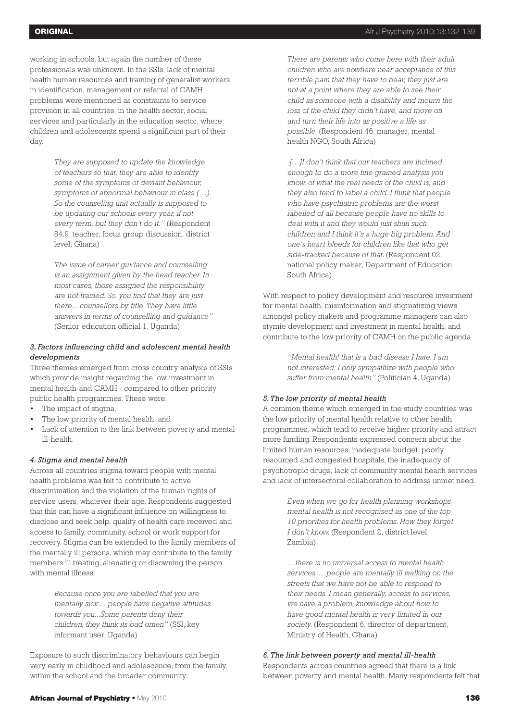working in schools, but again the number of these professionals was unknown. In the SSIs, lack of mental health human resources and training of generalist workers in identification, management or referral of CAMH problems were mentioned as constraints to service provision in all countries, in the health sector, social services and particularly in the education sector, where children and adolescents spend a significant part of their day.

> *They are supposed to update the knowledge of teachers so that, they are able to identify some of the symptoms of deviant behaviour, symptoms of abnormal behaviour in class (…). So the counseling unit actually is supposed to be updating our schools every year, if not every term, but they don't do it."* (Respondent 84.9, teacher, focus group discussion, district level, Ghana)

> *The issue of career guidance and counselling is an assignment given by the head teacher. In most cases, those assigned the responsibility are not trained. So, you find that they are just there…counsellors by title. They have little answers in terms of counselling and guidance"* (Senior education official 1, Uganda)

# *3. Factors influencing child and adolescent mental health developments*

Three themes emerged from cross country analysis of SSIs which provide insight regarding the low investment in mental health-and CAMH - compared to other priority public health programmes. These were:

- The impact of stigma,
- The low priority of mental health, and
- Lack of attention to the link between poverty and mental ill-health.

# *4. Stigma and mental health*

Across all countries stigma toward people with mental health problems was felt to contribute to active discrimination and the violation of the human rights of service users, whatever their age. Respondents suggested that this can have a significant influence on willingness to disclose and seek help, quality of health care received and access to family, community, school or work support for recovery. Stigma can be extended to the family members of the mentally ill persons, which may contribute to the family members ill treating, alienating or disowning the person with mental illness.

> *Because once you are labelled that you are mentally sick… people have negative attitudes towards you...Some parents deny their children, they think its bad omen"* (SSI, key informant user, Uganda)

Exposure to such discriminatory behaviours can begin very early in childhood and adolescence, from the family, within the school and the broader community:

*There are parents who come here with their adult children who are nowhere near acceptance of this terrible pain that they have to bear, they just are not at a point where they are able to see their child as someone with a disability and mourn the loss of the child they didn't have, and move on and turn their life into as positive a life as possible.* (Respondent 46, manager, mental health NGO, South Africa)

*[…]I don't think that our teachers are inclined enough to do a more fine grained analysis you know, of what the real needs of the child is, and they also tend to label a child, I think that people who have psychiatric problems are the worst labelled of all because people have no skills to deal with it and they would just shun such children and I think it's a huge big problem. And one's heart bleeds for children like that who get side-tracked because of that.* (Respondent 02, national policy maker, Department of Education, South Africa)

With respect to policy development and resource investment for mental health, misinformation and stigmatizing views amongst policy makers and programme managers can also stymie development and investment in mental health, and contribute to the low priority of CAMH on the public agenda

> *"Mental health! that is a bad disease I hate. I am not interested; I only sympathize with people who suffer from mental health"* (Politician 4, Uganda)

# *5.The low priority of mental health*

A common theme which emerged in the study countries was the low priority of mental health relative to other health programmes, which tend to receive higher priority and attract more funding. Respondents expressed concern about the limited human resources, inadequate budget, poorly resourced and congested hospitals, the inadequacy of psychotropic drugs, lack of community mental health services and lack of intersectoral collaboration to address unmet need.

> *Even when we go for health planning workshops mental health is not recognised as one of the top 10 priorities for health problems. How they forget I don't know.* (Respondent 2, district level, Zambia).

> *....there is no universal access to mental health services. …people are mentally ill walking on the streets that we have not be able to respond to their needs. I mean generally, access to services, we have a problem, knowledge about how to have good mental health is very limited in our society.* (Respondent 6, director of department, Ministry of Health, Ghana)

# *6.The link between poverty and mental ill-health*

Respondents across countries agreed that there is a link between poverty and mental health. Many respondents felt that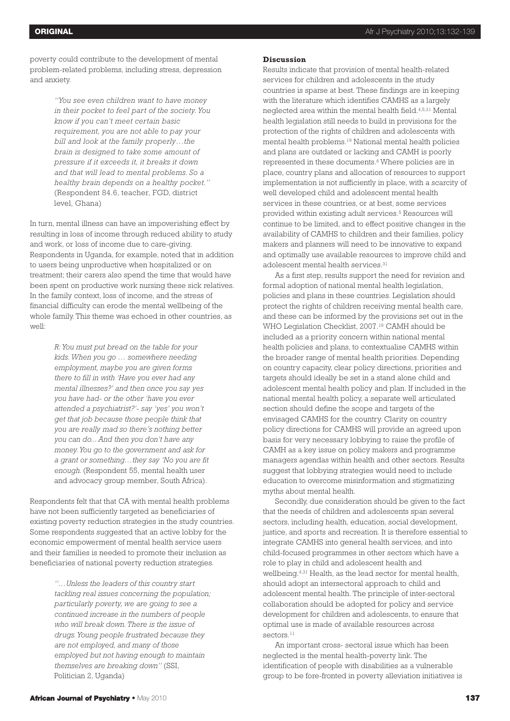poverty could contribute to the development of mental problem-related problems, including stress, depression and anxiety.

> *"You see even children want to have money in their pocket to feel part of the society. You know if you can't meet certain basic requirement, you are not able to pay your bill and look at the family properly…the brain is designed to take some amount of pressure if it exceeds it, it breaks it down and that will lead to mental problems. So a healthy brain depends on a healthy pocket."* (Respondent 84.6, teacher, FGD, district level, Ghana)

In turn, mental illness can have an impoverishing effect by resulting in loss of income through reduced ability to study and work, or loss of income due to care-giving. Respondents in Uganda, for example, noted that in addition to users being unproductive when hospitalized or on treatment; their carers also spend the time that would have been spent on productive work nursing these sick relatives. In the family context, loss of income, and the stress of financial difficulty can erode the mental wellbeing of the whole family. This theme was echoed in other countries, as well:

> *R: You must put bread on the table for your kids. When you go … somewhere needing employment, maybe you are given forms there to fill in with 'Have you ever had any mental illnesses?' and then once you say yes you have had- or the other 'have you ever attended a psychiatrist?'- say 'yes' you won't get that job because those people think that you are really mad so there's nothing better you can do... And then you don't have any money.You go to the government and ask for a grant or something…they say 'No you are fit enough.* (Respondent 55, mental health user and advocacy group member, South Africa).

Respondents felt that that CA with mental health problems have not been sufficiently targeted as beneficiaries of existing poverty reduction strategies in the study countries. Some respondents suggested that an active lobby for the economic empowerment of mental health service users and their families is needed to promote their inclusion as beneficiaries of national poverty reduction strategies.

> *"…Unless the leaders of this country start tackling real issues concerning the population; particularly poverty, we are going to see a continued increase in the numbers of people who will break down. There is the issue of drugs.Young people frustrated because they are not employed, and many of those employed but not having enough to maintain themselves are breaking down"* (SSI, Politician 2, Uganda)

#### **Discussion**

Results indicate that provision of mental health-related services for children and adolescents in the study countries is sparse at best. These findings are in keeping with the literature which identifies CAMHS as a largely neglected area within the mental health field. 4,5,31 Mental health legislation still needs to build in provisions for the protection of the rights of children and adolescents with mental health problems. <sup>19</sup> National mental health policies and plans are outdated or lacking and CAMH is poorly represented in these documents. <sup>6</sup> Where policies are in place, country plans and allocation of resources to support implementation is not sufficiently in place, with a scarcity of well developed child and adolescent mental health services in these countries, or at best, some services provided within existing adult services. <sup>5</sup> Resources will continue to be limited, and to effect positive changes in the availability of CAMHS to children and their families, policy makers and planners will need to be innovative to expand and optimally use available resources to improve child and adolescent mental health services. 31

As a first step, results support the need for revision and formal adoption of national mental health legislation, policies and plans in these countries. Legislation should protect the rights of children receiving mental health care, and these can be informed by the provisions set out in the WHO Legislation Checklist, 2007. <sup>19</sup> CAMH should be included as a priority concern within national mental health policies and plans, to contextualise CAMHS within the broader range of mental health priorities. Depending on country capacity, clear policy directions, priorities and targets should ideally be set in a stand alone child and adolescent mental health policy and plan. If included in the national mental health policy, a separate well articulated section should define the scope and targets of the envisaged CAMHS for the country. Clarity on country policy directions for CAMHS will provide an agreed upon basis for very necessary lobbying to raise the profile of CAMH as a key issue on policy makers and programme managers agendas within health and other sectors. Results suggest that lobbying strategies would need to include education to overcome misinformation and stigmatizing myths about mental health.

Secondly, due consideration should be given to the fact that the needs of children and adolescents span several sectors, including health, education, social development, justice, and sports and recreation. It is therefore essential to integrate CAMHS into general health services, and into child-focused programmes in other sectors which have a role to play in child and adolescent health and wellbeing. 4,31 Health, as the lead sector for mental health, should adopt an intersectoral approach to child and adolescent mental health. The principle of inter-sectoral collaboration should be adopted for policy and service development for children and adolescents, to ensure that optimal use is made of available resources across sectors. 11

An important cross- sectoral issue which has been neglected is the mental health-poverty link. The identification of people with disabilities as a vulnerable group to be fore-fronted in poverty alleviation initiatives is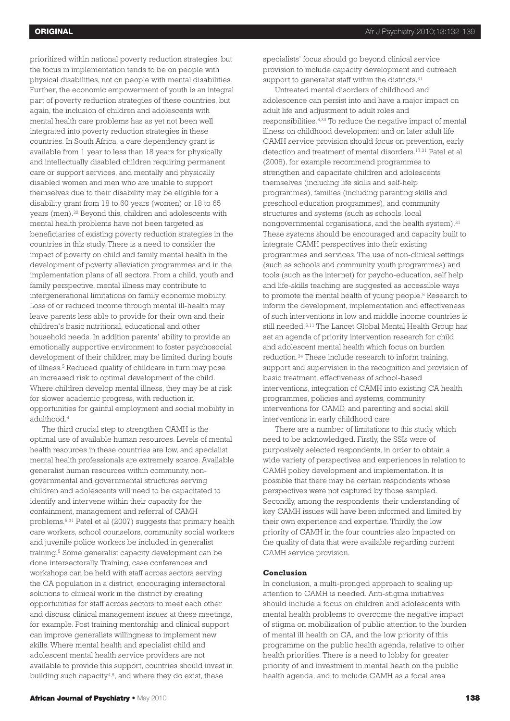prioritized within national poverty reduction strategies, but the focus in implementation tends to be on people with physical disabilities, not on people with mental disabilities. Further, the economic empowerment of youth is an integral part of poverty reduction strategies of these countries, but again, the inclusion of children and adolescents with mental health care problems has as yet not been well integrated into poverty reduction strategies in these countries. In South Africa, a care dependency grant is available from 1 year to less than 18 years for physically and intellectually disabled children requiring permanent care or support services, and mentally and physically disabled women and men who are unable to support themselves due to their disability may be eligible for a disability grant from 18 to 60 years (women) or 18 to 65 years (men). <sup>32</sup> Beyond this, children and adolescents with mental health problems have not been targeted as beneficiaries of existing poverty reduction strategies in the countries in this study. There is a need to consider the impact of poverty on child and family mental health in the development of poverty alleviation programmes and in the implementation plans of all sectors. From a child, youth and family perspective, mental illness may contribute to intergenerational limitations on family economic mobility. Loss of or reduced income through mental ill-health may leave parents less able to provide for their own and their children's basic nutritional, educational and other household needs. In addition parents' ability to provide an emotionally supportive environment to foster psychosocial development of their children may be limited during bouts of illness. <sup>5</sup> Reduced quality of childcare in turn may pose an increased risk to optimal development of the child. Where children develop mental illness, they may be at risk for slower academic progress, with reduction in opportunities for gainful employment and social mobility in adulthood. 4

The third crucial step to strengthen CAMH is the optimal use of available human resources. Levels of mental health resources in these countries are low, and specialist mental health professionals are extremely scarce. Available generalist human resources within community, nongovernmental and governmental structures serving children and adolescents will need to be capacitated to identify and intervene within their capacity for the containment, management and referral of CAMH problems. 5,31 Patel et al (2007) suggests that primary health care workers, school counselors, community social workers and juvenile police workers be included in generalist training. <sup>5</sup> Some generalist capacity development can be done intersectorally. Training, case conferences and workshops can be held with staff across sectors serving the CA population in a district, encouraging intersectoral solutions to clinical work in the district by creating opportunities for staff across sectors to meet each other and discuss clinical management issues at these meetings, for example. Post training mentorship and clinical support can improve generalists willingness to implement new skills. Where mental health and specialist child and adolescent mental health service providers are not available to provide this support, countries should invest in building such capacity $4,5$ , and where they do exist, these

Untreated mental disorders of childhood and adolescence can persist into and have a major impact on adult life and adjustment to adult roles and responsibilities. 5,33 To reduce the negative impact of mental illness on childhood development and on later adult life, CAMH service provision should focus on prevention, early detection and treatment of mental disorders. 17,31 Patel et al (2008), for example recommend programmes to strengthen and capacitate children and adolescents themselves (including life skills and self-help programmes), families (including parenting skills and preschool education programmes), and community structures and systems (such as schools, local nongovernmental organisations, and the health system). 31 These systems should be encouraged and capacity built to integrate CAMH perspectives into their existing programmes and services. The use of non-clinical settings (such as schools and community youth programmes) and tools (such as the internet) for psycho-education, self help and life-skills teaching are suggested as accessible ways to promote the mental health of young people. <sup>5</sup> Research to inform the development, implementation and effectiveness of such interventions in low and middle income countries is still needed. 5,11 The Lancet Global Mental Health Group has set an agenda of priority intervention research for child and adolescent mental health which focus on burden reduction. <sup>34</sup> These include research to inform training, support and supervision in the recognition and provision of basic treatment, effectiveness of school-based interventions, integration of CAMH into existing CA health programmes, policies and systems, community interventions for CAMD, and parenting and social skill interventions in early childhood care

There are a number of limitations to this study, which need to be acknowledged. Firstly, the SSIs were of purposively selected respondents, in order to obtain a wide variety of perspectives and experiences in relation to CAMH policy development and implementation. It is possible that there may be certain respondents whose perspectives were not captured by those sampled. Secondly, among the respondents, their understanding of key CAMH issues will have been informed and limited by their own experience and expertise. Thirdly, the low priority of CAMH in the four countries also impacted on the quality of data that were available regarding current CAMH service provision.

#### **Conclusion**

In conclusion, a multi-pronged approach to scaling up attention to CAMH is needed. Anti-stigma initiatives should include a focus on children and adolescents with mental health problems to overcome the negative impact of stigma on mobilization of public attention to the burden of mental ill health on CA, and the low priority of this programme on the public health agenda, relative to other health priorities. There is a need to lobby for greater priority of and investment in mental heath on the public health agenda, and to include CAMH as a focal area